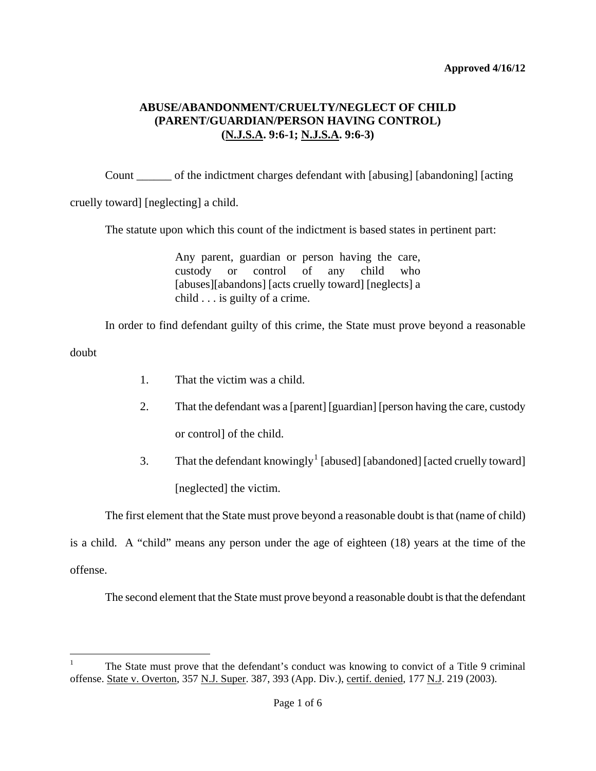Count \_\_\_\_\_\_ of the indictment charges defendant with [abusing] [abandoning] [acting

cruelly toward] [neglecting] a child.

The statute upon which this count of the indictment is based states in pertinent part:

Any parent, guardian or person having the care, custody or control of any child who [abuses][abandons] [acts cruelly toward] [neglects] a child . . . is guilty of a crime.

In order to find defendant guilty of this crime, the State must prove beyond a reasonable

doubt

- 1. That the victim was a child.
- 2. That the defendant was a [parent] [guardian] [person having the care, custody or control] of the child.
- 3. That the defendant knowingly<sup>[1](#page-0-0)</sup> [abused] [abandoned] [acted cruelly toward] [neglected] the victim.

The first element that the State must prove beyond a reasonable doubt is that (name of child)

<span id="page-0-1"></span>is a child. A "child" means any person under the age of eighteen (18) years at the time of the offense.

The second element that the State must prove beyond a reasonable doubt is that the defendant

<span id="page-0-0"></span> $\frac{1}{1}$  The State must prove that the defendant's conduct was knowing to convict of a Title 9 criminal offense. State v. Overton, 357 N.J. Super. 387, 393 (App. Div.), certif. denied, 177 N.J. 219 (2003).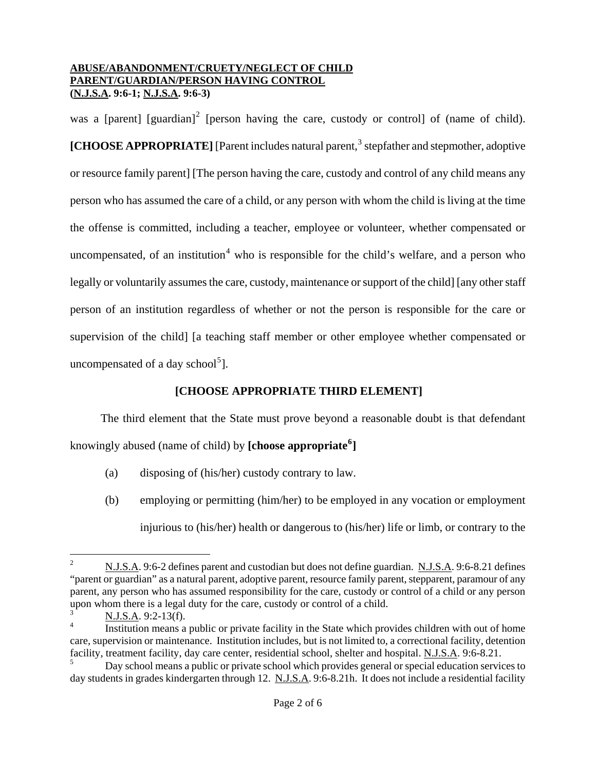was a [parent] [guardian]<sup>[2](#page-0-1)</sup> [person having the care, custody or control] of (name of child). **[CHOOSE APPROPRIATE]** [Parent includes natural parent,<sup>[3](#page-1-0)</sup> stepfather and stepmother, adoptive or resource family parent] [The person having the care, custody and control of any child means any person who has assumed the care of a child, or any person with whom the child is living at the time the offense is committed, including a teacher, employee or volunteer, whether compensated or uncompensated, of an institution<sup>[4](#page-1-1)</sup> who is responsible for the child's welfare, and a person who legally or voluntarily assumes the care, custody, maintenance or support of the child] [any other staff person of an institution regardless of whether or not the person is responsible for the care or supervision of the child] [a teaching staff member or other employee whether compensated or uncompensated of a day school<sup>[5](#page-1-2)</sup>].

# **[CHOOSE APPROPRIATE THIRD ELEMENT]**

The third element that the State must prove beyond a reasonable doubt is that defendant knowingly abused (name of child) by **[choose appropriate[6](#page-1-3) ]**

- (a) disposing of (his/her) custody contrary to law.
- (b) employing or permitting (him/her) to be employed in any vocation or employment injurious to (his/her) health or dangerous to (his/her) life or limb, or contrary to the

i<br>Li

<sup>2</sup> N.J.S.A. 9:6-2 defines parent and custodian but does not define guardian. N.J.S.A. 9:6-8.21 defines "parent or guardian" as a natural parent, adoptive parent, resource family parent, stepparent, paramour of any parent, any person who has assumed responsibility for the care, custody or control of a child or any person upon whom there is a legal duty for the care, custody or control of a child.

<sup>3</sup> N.J.S.A. 9:2-13(f).

<span id="page-1-1"></span><span id="page-1-0"></span><sup>4</sup> Institution means a public or private facility in the State which provides children with out of home care, supervision or maintenance. Institution includes, but is not limited to, a correctional facility, detention facility, treatment facility, day care center, residential school, shelter and hospital. N.J.S.A. 9:6-8.21.

<span id="page-1-4"></span><span id="page-1-3"></span><span id="page-1-2"></span><sup>5</sup> Day school means a public or private school which provides general or special education services to day students in grades kindergarten through 12. N.J.S.A. 9:6-8.21h. It does not include a residential facility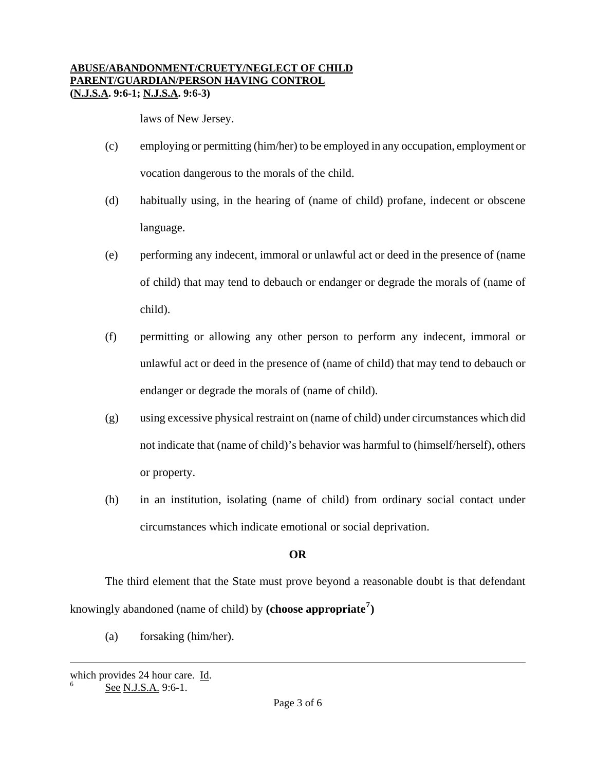laws of New Jersey.

- (c) employing or permitting (him/her) to be employed in any occupation, employment or vocation dangerous to the morals of the child.
- (d) habitually using, in the hearing of (name of child) profane, indecent or obscene language.
- (e) performing any indecent, immoral or unlawful act or deed in the presence of (name of child) that may tend to debauch or endanger or degrade the morals of (name of child).
- (f) permitting or allowing any other person to perform any indecent, immoral or unlawful act or deed in the presence of (name of child) that may tend to debauch or endanger or degrade the morals of (name of child).
- (g) using excessive physical restraint on (name of child) under circumstances which did not indicate that (name of child)'s behavior was harmful to (himself/herself), others or property.
- (h) in an institution, isolating (name of child) from ordinary social contact under circumstances which indicate emotional or social deprivation.

# **OR**

The third element that the State must prove beyond a reasonable doubt is that defendant knowingly abandoned (name of child) by **(choose appropriate[7](#page-1-4) )**

(a) forsaking (him/her).

<span id="page-2-0"></span>i which provides 24 hour care.  $\underline{Id}$ .<br>
See N.J.S.A. 9:6-1.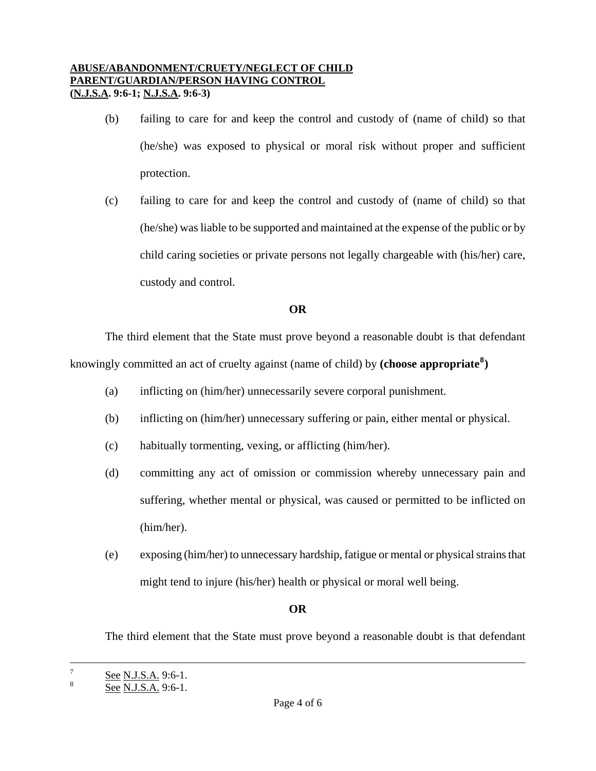- (b) failing to care for and keep the control and custody of (name of child) so that (he/she) was exposed to physical or moral risk without proper and sufficient protection.
- (c) failing to care for and keep the control and custody of (name of child) so that (he/she) was liable to be supported and maintained at the expense of the public or by child caring societies or private persons not legally chargeable with (his/her) care, custody and control.

# **OR**

The third element that the State must prove beyond a reasonable doubt is that defendant knowingly committed an act of cruelty against (name of child) by **(choose appropriate[8](#page-2-0) )**

- (a) inflicting on (him/her) unnecessarily severe corporal punishment.
- (b) inflicting on (him/her) unnecessary suffering or pain, either mental or physical.
- (c) habitually tormenting, vexing, or afflicting (him/her).
- (d) committing any act of omission or commission whereby unnecessary pain and suffering, whether mental or physical, was caused or permitted to be inflicted on (him/her).
- (e) exposing (him/her) to unnecessary hardship, fatigue or mental or physical strains that might tend to injure (his/her) health or physical or moral well being.

# **OR**

The third element that the State must prove beyond a reasonable doubt is that defendant

 $\overline{\phantom{0}}$ 

 $\frac{7}{8}$  See N.J.S.A. 9:6-1.

<span id="page-3-0"></span>See N.J.S.A. 9:6-1.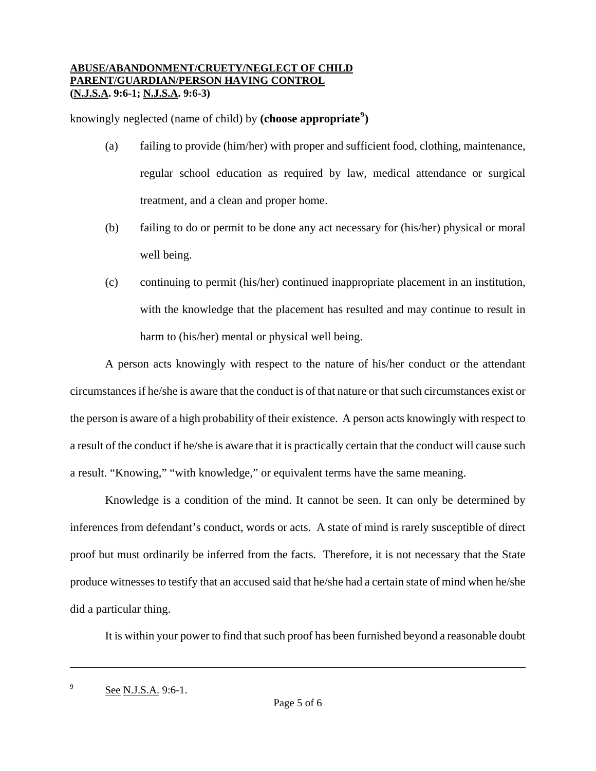knowingly neglected (name of child) by **(choose appropriate[9](#page-3-0) )** 

- (a) failing to provide (him/her) with proper and sufficient food, clothing, maintenance, regular school education as required by law, medical attendance or surgical treatment, and a clean and proper home.
- (b) failing to do or permit to be done any act necessary for (his/her) physical or moral well being.
- (c) continuing to permit (his/her) continued inappropriate placement in an institution, with the knowledge that the placement has resulted and may continue to result in harm to (his/her) mental or physical well being.

A person acts knowingly with respect to the nature of his/her conduct or the attendant circumstances if he/she is aware that the conduct is of that nature or that such circumstances exist or the person is aware of a high probability of their existence. A person acts knowingly with respect to a result of the conduct if he/she is aware that it is practically certain that the conduct will cause such a result. "Knowing," "with knowledge," or equivalent terms have the same meaning.

Knowledge is a condition of the mind. It cannot be seen. It can only be determined by inferences from defendant's conduct, words or acts. A state of mind is rarely susceptible of direct proof but must ordinarily be inferred from the facts. Therefore, it is not necessary that the State produce witnesses to testify that an accused said that he/she had a certain state of mind when he/she did a particular thing.

It is within your power to find that such proof has been furnished beyond a reasonable doubt

i

<sup>&</sup>lt;sup>9</sup> See N.J.S.A. 9:6-1.